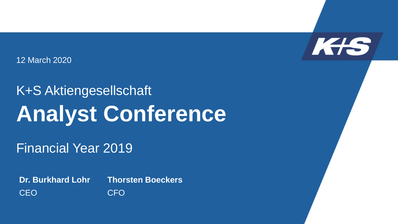

12 March 2020

## K+S Aktiengesellschaft **Analyst Conference**

Financial Year 2019

**Thorsten Boeckers** CFO **Dr. Burkhard Lohr** CEO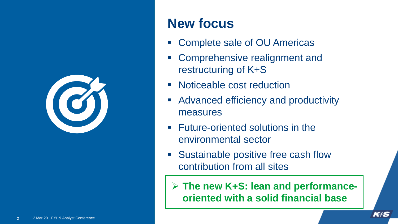

#### **New focus**

- Complete sale of OU Americas
- Comprehensive realignment and restructuring of K+S
- **Noticeable cost reduction**
- **Advanced efficiency and productivity** measures
- **Future-oriented solutions in the** environmental sector
- **Sustainable positive free cash flow** contribution from all sites

 **The new K+S: lean and performanceoriented with a solid financial base**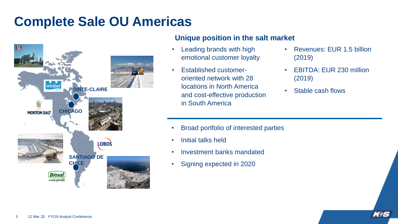### **Complete Sale OU Americas**



#### **Unique position in the salt market**

- Leading brands with high emotional customer loyalty
- Established customeroriented network with 28 locations in North America and cost-effective production in South America
- Revenues: EUR 1.5 billion (2019)
- EBITDA: EUR 230 million (2019)
- Stable cash flows

- Broad portfolio of interested parties
- Initial talks held
- Investment banks mandated
- Signing expected in 2020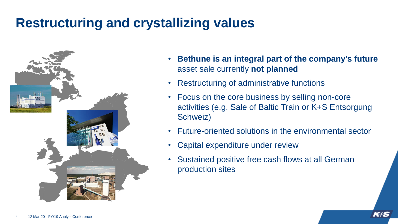### **Restructuring and crystallizing values**



- **Bethune is an integral part of the company's future** asset sale currently **not planned**
- Restructuring of administrative functions
- Focus on the core business by selling non-core activities (e.g. Sale of Baltic Train or K+S Entsorgung Schweiz)
- Future-oriented solutions in the environmental sector
- Capital expenditure under review
- Sustained positive free cash flows at all German production sites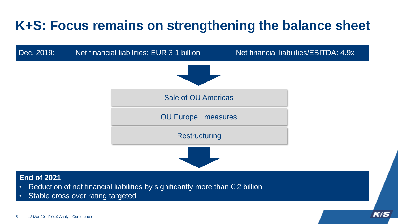### **K+S: Focus remains on strengthening the balance sheet**



#### **End of 2021**

- Reduction of net financial liabilities by significantly more than  $\epsilon$  2 billion
- Stable cross over rating targeted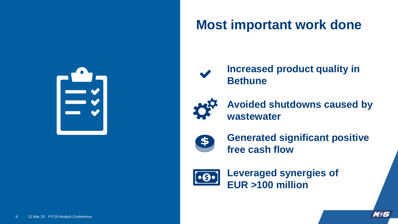

### **Most important work done**



**Increased product quality in Bethune**



**Avoided shutdowns caused by wastewater**



**Generated significant positive free cash flow** 



**Leveraged synergies of EUR >100 million**

KIS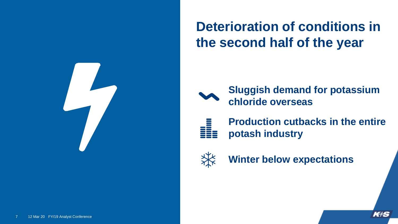

### **Deterioration of conditions in the second half of the year**



**Sluggish demand for potassium chloride overseas** 



**Production cutbacks in the entire potash industry**



**Winter below expectations**

KIS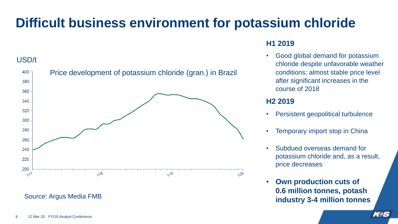### **Difficult business environment for potassium chloride**

#### USD/t



#### Source: Argus Media FMB

#### **H1 2019**

• Good global demand for potassium chloride despite unfavorable weather conditions; almost stable price level after significant increases in the course of 2018

#### **H2 2019**

- Persistent geopolitical turbulence
- **Temporary import stop in China**
- Subdued overseas demand for potassium chloride and, as a result, price decreases
- **Own production cuts of 0.6 million tonnes, potash industry 3-4 million tonnes**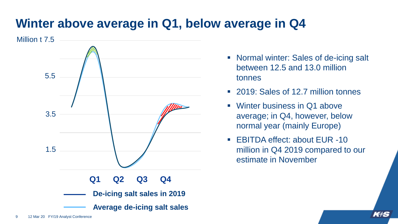#### **Winter above average in Q1, below average in Q4**



- Normal winter: Sales of de-icing salt between 12.5 and 13.0 million tonnes
- 2019: Sales of 12.7 million tonnes
- Winter business in Q1 above average; in Q4, however, below normal year (mainly Europe)
- EBITDA effect: about EUR -10 million in Q4 2019 compared to our estimate in November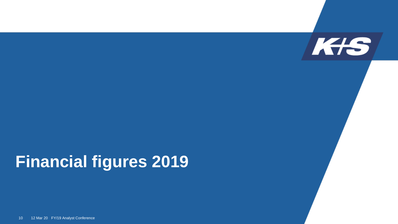

## **Financial figures 2019**

10 12 Mar 20 FY/19 Analyst Conference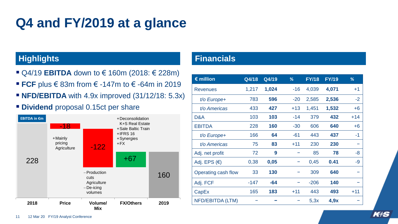### **Q4 and FY/2019 at a glance**

- Q4/19 **EBITDA** down to € 160m (2018: € 228m)
- **FCF** plus € 83m from € -147m to € -64m in 2019
- **NFD/EBITDA** with 4.9x improved (31/12/18: 5.3x)
- **Dividend** proposal 0.15ct per share



#### **Highlights Financials**

| $\epsilon$ million    | Q4/18  | Q4/19 | %     | <b>FY/18</b> | <b>FY/19</b> | %     |
|-----------------------|--------|-------|-------|--------------|--------------|-------|
| <b>Revenues</b>       | 1,217  | 1,024 | $-16$ | 4,039        | 4,071        | $+1$  |
| $t$ /o Europe+        | 783    | 596   | $-20$ | 2,585        | 2,536        | $-2$  |
| t/o Americas          | 433    | 427   | $+13$ | 1,451        | 1,532        | $+6$  |
| D&A                   | 103    | 103   | $-14$ | 379          | 432          | $+14$ |
| <b>EBITDA</b>         | 228    | 160   | $-30$ | 606          | 640          | $+6$  |
| t/o Europe+           | 166    | 64    | $-61$ | 443          | 437          | -1    |
| t/o Americas          | 75     | 83    | $+11$ | 230          | 230          |       |
| Adj. net profit       | 72     | 9     |       | 85           | 78           | -8    |
| Adj. EPS $(\epsilon)$ | 0,38   | 0,05  |       | 0,45         | 0.41         | -9    |
| Operating cash flow   | 33     | 130   |       | 309          | 640          |       |
| Adj. FCF              | $-147$ | $-64$ |       | $-206$       | 140          |       |
| CapEx                 | 165    | 183   | $+11$ | 443          | 493          | $+11$ |
| NFD/EBITDA (LTM)      |        |       |       | 5,3x         | 4,9x         |       |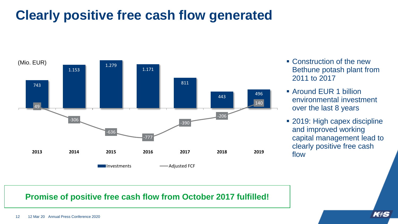### **Clearly positive free cash flow generated**



- Construction of the new Bethune potash plant from 2011 to 2017
- Around EUR 1 billion environmental investment over the last 8 years
- 2019: High capex discipline and improved working capital management lead to clearly positive free cash flow

#### **Promise of positive free cash flow from October 2017 fulfilled!**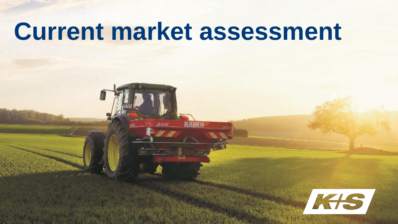# **Current market assessment**

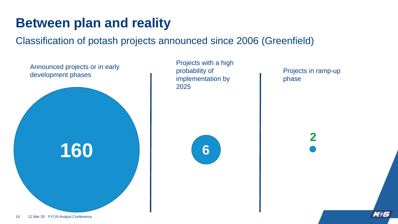### **Between plan and reality**

Classification of potash projects announced since 2006 (Greenfield)



**2**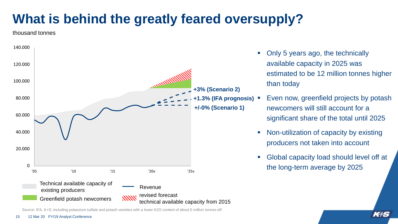### **What is behind the greatly feared oversupply?**

#### thousand tonnes



Source: IFA, K+S; including potassium sulfate and potash varieties with a lower K2O content of about 5 million tonnes eff.

- Only 5 years ago, the technically available capacity in 2025 was estimated to be 12 million tonnes higher than today
- Even now, greenfield projects by potash newcomers will still account for a significant share of the total until 2025
- Non-utilization of capacity by existing producers not taken into account
- Global capacity load should level off at the long-term average by 2025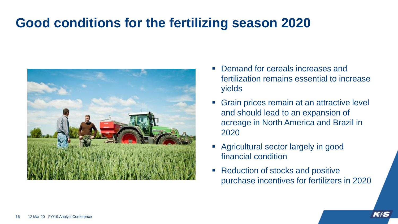#### **Good conditions for the fertilizing season 2020**



- Demand for cereals increases and fertilization remains essential to increase yields
- Grain prices remain at an attractive level and should lead to an expansion of acreage in North America and Brazil in 2020
- Agricultural sector largely in good financial condition
- **Reduction of stocks and positive** purchase incentives for fertilizers in 2020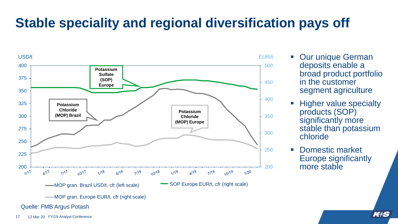### **Stable speciality and regional diversification pays off**



Quelle: FMB Argus Potash

- **Dur unique German** deposits enable a broad product portfolio in the customer segment agriculture
- Higher value specialty products (SOP) significantly more stable than potassium chloride
- **Domestic market** Europe significantly more stable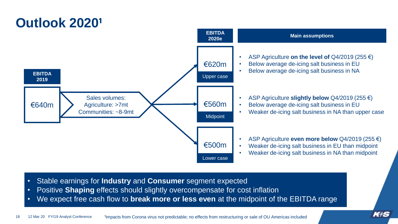

- Stable earnings for **Industry** and **Consumer** segment expected
- Positive **Shaping** effects should slightly overcompensate for cost inflation
- We expect free cash flow to **break more or less even** at the midpoint of the EBITDA range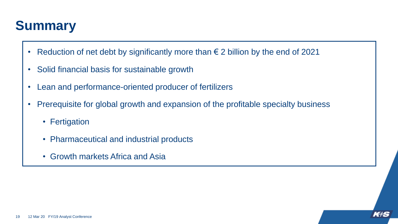### **Summary**

- Reduction of net debt by significantly more than  $\epsilon$  2 billion by the end of 2021
- Solid financial basis for sustainable growth
- Lean and performance-oriented producer of fertilizers
- Prerequisite for global growth and expansion of the profitable specialty business
	- Fertigation
	- Pharmaceutical and industrial products
	- Growth markets Africa and Asia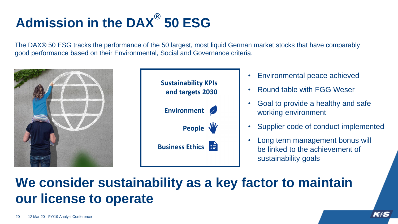## **Admission in the DAX® 50 ESG**

The DAX® 50 ESG tracks the performance of the 50 largest, most liquid German market stocks that have comparably good performance based on their Environmental, Social and Governance criteria.



#### **We consider sustainability as a key factor to maintain our license to operate**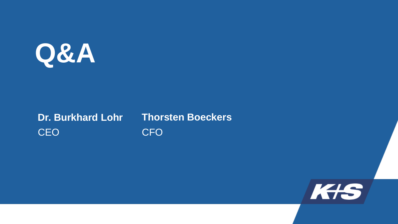

#### **Dr. Burkhard Lohr CEO**

#### **Thorsten Boeckers** CFO

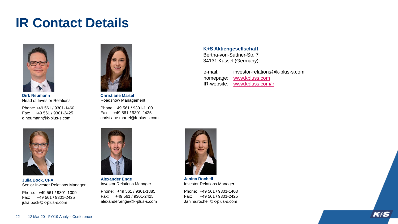#### **IR Contact Details**



**Dirk Neumann** Head of Investor Relations

Phone: +49 561 / 9301-1460 Fax: +49 561 / 9301-2425 d.neumann@k-plus-s.com



**Christiane Martel** Roadshow Management

Phone: +49 561 / 9301-1100 Fax: +49 561 / 9301-2425 christiane.martel@k-plus-s.com **K+S Aktiengesellschaft** Bertha-von-Suttner-Str. 7 34131 Kassel (Germany)

| e-mail:   | investor-relations@k-plus-s.com |
|-----------|---------------------------------|
| homepage: | www.kpluss.com                  |
|           | IR-website: www.kpluss.com/ir   |



**Julia Bock, CFA** Senior Investor Relations Manager

Phone: +49 561 / 9301-1009 Fax: +49 561 / 9301-2425 julia.bock@k-plus-s.com



**Alexander Enge** Investor Relations Manager

Phone: +49 561 / 9301-1885 Fax: +49 561 / 9301-2425 alexander.enge@k-plus-s.com



**Janina Rochell** Investor Relations Manager

Phone: +49 561 / 9301-1403 Fax: +49 561 / 9301-2425 Janina.rochell@k-plus-s.com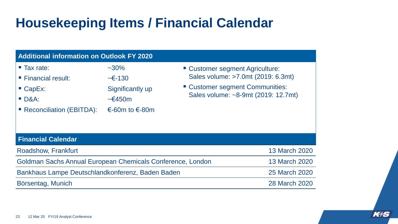### **Housekeeping Items / Financial Calendar**

| <b>Additional information on Outlook FY 2020</b>                                                                          |                                                                                                 |  |                                                                                                                                                 |  |  |  |  |
|---------------------------------------------------------------------------------------------------------------------------|-------------------------------------------------------------------------------------------------|--|-------------------------------------------------------------------------------------------------------------------------------------------------|--|--|--|--|
| $\blacksquare$ Tax rate:<br>■ Financial result:<br>$\blacksquare$ CapEx:<br><b>D&amp;A:</b><br>■ Reconciliation (EBITDA): | $~1.30\%$<br>$\sim$ $\in$ -130<br>Significantly up<br>$\sim \epsilon$ 450m<br>€-60m to $∈$ -80m |  | " Customer segment Agriculture:<br>Sales volume: >7.0mt (2019: 6.3mt)<br>" Customer segment Communities:<br>Sales volume: ~8-9mt (2019: 12.7mt) |  |  |  |  |
| <b>Financial Calendar</b>                                                                                                 |                                                                                                 |  |                                                                                                                                                 |  |  |  |  |
| Roadshow, Frankfurt                                                                                                       |                                                                                                 |  | <b>13 March 2020</b>                                                                                                                            |  |  |  |  |
| Goldman Sachs Annual European Chemicals Conference, London                                                                |                                                                                                 |  | <b>13 March 2020</b>                                                                                                                            |  |  |  |  |
| Bankhaus Lampe Deutschlandkonferenz, Baden Baden                                                                          |                                                                                                 |  | 25 March 2020                                                                                                                                   |  |  |  |  |
| Börsentag, Munich                                                                                                         |                                                                                                 |  | 28 March 2020                                                                                                                                   |  |  |  |  |